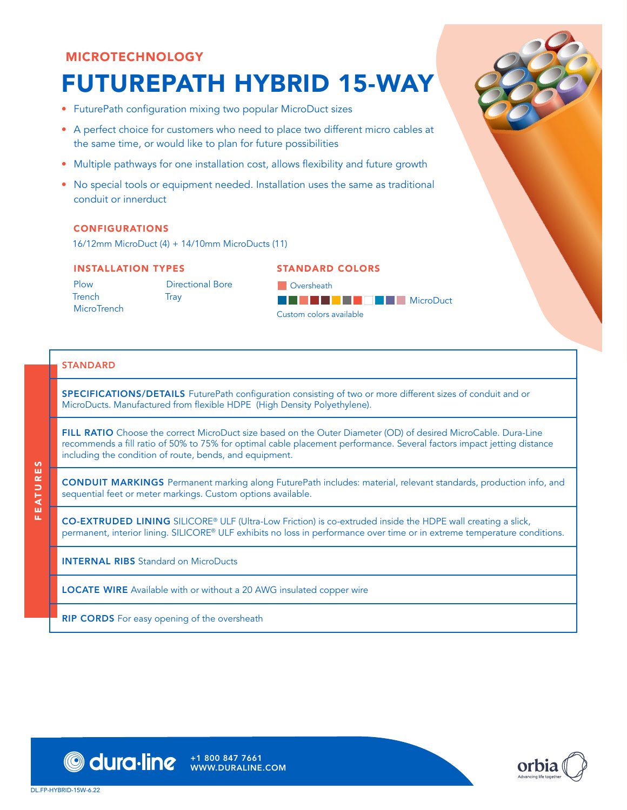# MICROTECHNOLOGY

# FUTUREPATH HYBRID 15-WAY

- FuturePath configuration mixing two popular MicroDuct sizes
- A perfect choice for customers who need to place two different micro cables at the same time, or would like to plan for future possibilities
- Multiple pathways for one installation cost, allows flexibility and future growth
- No special tools or equipment needed. Installation uses the same as traditional conduit or innerduct

#### CONFIGURATIONS

16/12mm MicroDuct (4) + 14/10mm MicroDucts (11)

#### INSTALLATION TYPES

Plow **Trench MicroTrench** 

Directional Bore **Tray** 

| <b>STANDARD COLORS</b> |  |  |  |  |  |  |  |  |  |  |
|------------------------|--|--|--|--|--|--|--|--|--|--|
|------------------------|--|--|--|--|--|--|--|--|--|--|

**D** Oversheath **BCDSCXFAWWYZB MicroDuct** Custom colors available

### **STANDARD**

FEATURES

ü.

EATURES

SPECIFICATIONS/DETAILS FuturePath configuration consisting of two or more different sizes of conduit and or MicroDucts. Manufactured from flexible HDPE (High Density Polyethylene).

FILL RATIO Choose the correct MicroDuct size based on the Outer Diameter (OD) of desired MicroCable. Dura-Line recommends a fill ratio of 50% to 75% for optimal cable placement performance. Several factors impact jetting distance including the condition of route, bends, and equipment.

CONDUIT MARKINGS Permanent marking along FuturePath includes: material, relevant standards, production info, and sequential feet or meter markings. Custom options available.

CO-EXTRUDED LINING SILICORE® ULF (Ultra-Low Friction) is co-extruded inside the HDPE wall creating a slick, permanent, interior lining. SILICORE® ULF exhibits no loss in performance over time or in extreme temperature conditions.

INTERNAL RIBS Standard on MicroDucts

LOCATE WIRE Available with or without a 20 AWG insulated copper wire

RIP CORDS For easy opening of the oversheath